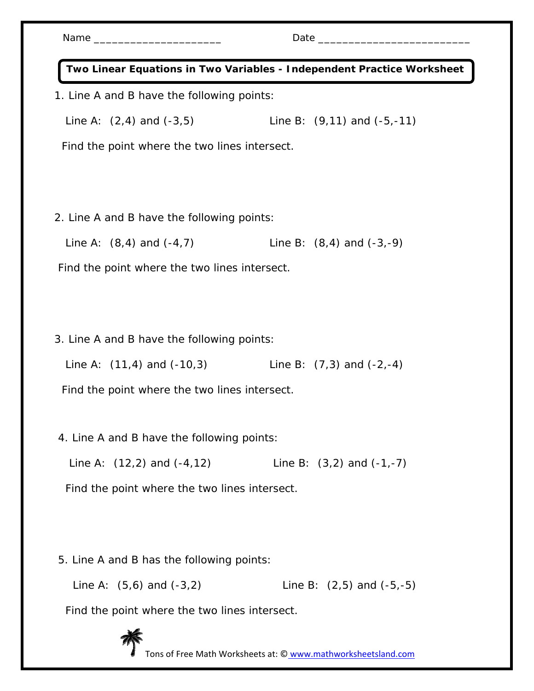| Name $\frac{1}{2}$                                                     | Date $\_\_$                     |
|------------------------------------------------------------------------|---------------------------------|
| Two Linear Equations in Two Variables - Independent Practice Worksheet |                                 |
| 1. Line A and B have the following points:                             |                                 |
| Line A: $(2, 4)$ and $(-3, 5)$                                         | Line B: $(9,11)$ and $(-5,-11)$ |
| Find the point where the two lines intersect.                          |                                 |
|                                                                        |                                 |
| 2. Line A and B have the following points:                             |                                 |
| Line A: $(8,4)$ and $(-4,7)$                                           | Line B: $(8,4)$ and $(-3,-9)$   |
| Find the point where the two lines intersect.                          |                                 |
|                                                                        |                                 |
| 3. Line A and B have the following points:                             |                                 |
| Line A: $(11,4)$ and $(-10,3)$ Line B: $(7,3)$ and $(-2,-4)$           |                                 |
| Find the point where the two lines intersect.                          |                                 |
| 4. Line A and B have the following points:                             |                                 |
| Line A: $(12,2)$ and $(-4,12)$                                         | Line B: $(3,2)$ and $(-1,-7)$   |
| Find the point where the two lines intersect.                          |                                 |
|                                                                        |                                 |
| 5. Line A and B has the following points:                              |                                 |
| Line A: $(5,6)$ and $(-3,2)$                                           | Line B: $(2,5)$ and $(-5,-5)$   |
|                                                                        |                                 |

Find the point where the two lines intersect.



Tons of Free Math Worksheets at: © www.mathworksheetsland.com